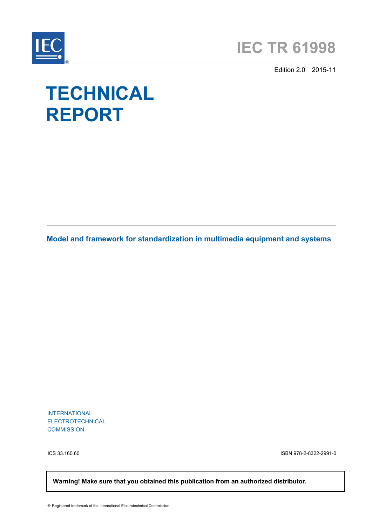



Edition 2.0 2015-11

# **TECHNICAL REPORT**

**Model and framework for standardization in multimedia equipment and systems**

INTERNATIONAL ELECTROTECHNICAL **COMMISSION** 

ICS 33.160.60 ISBN 978-2-8322-2991-0

 **Warning! Make sure that you obtained this publication from an authorized distributor.**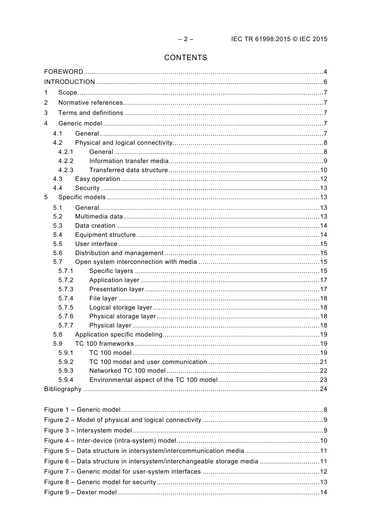## CONTENTS

| 1                                                                         |  |  |  |  |  |  |
|---------------------------------------------------------------------------|--|--|--|--|--|--|
| 2                                                                         |  |  |  |  |  |  |
| 3                                                                         |  |  |  |  |  |  |
| 4                                                                         |  |  |  |  |  |  |
| 4.1                                                                       |  |  |  |  |  |  |
| 4.2                                                                       |  |  |  |  |  |  |
| 4.2.1                                                                     |  |  |  |  |  |  |
| 4.2.2                                                                     |  |  |  |  |  |  |
| 4.2.3                                                                     |  |  |  |  |  |  |
| 4.3                                                                       |  |  |  |  |  |  |
| 4.4                                                                       |  |  |  |  |  |  |
| 5                                                                         |  |  |  |  |  |  |
| 5.1                                                                       |  |  |  |  |  |  |
| 5.2                                                                       |  |  |  |  |  |  |
| 5.3<br>5.4                                                                |  |  |  |  |  |  |
| 5.5                                                                       |  |  |  |  |  |  |
| 5.6                                                                       |  |  |  |  |  |  |
| 5.7                                                                       |  |  |  |  |  |  |
| 5.7.1                                                                     |  |  |  |  |  |  |
| 5.7.2                                                                     |  |  |  |  |  |  |
| 5.7.3                                                                     |  |  |  |  |  |  |
| 5.7.4                                                                     |  |  |  |  |  |  |
| 5.7.5                                                                     |  |  |  |  |  |  |
| 5.7.6                                                                     |  |  |  |  |  |  |
| 5.7.7                                                                     |  |  |  |  |  |  |
| 5.8                                                                       |  |  |  |  |  |  |
| 5.9                                                                       |  |  |  |  |  |  |
| 5.9.1                                                                     |  |  |  |  |  |  |
| 5.9.2                                                                     |  |  |  |  |  |  |
| 5.9.3                                                                     |  |  |  |  |  |  |
| 5.9.4                                                                     |  |  |  |  |  |  |
|                                                                           |  |  |  |  |  |  |
|                                                                           |  |  |  |  |  |  |
|                                                                           |  |  |  |  |  |  |
|                                                                           |  |  |  |  |  |  |
|                                                                           |  |  |  |  |  |  |
|                                                                           |  |  |  |  |  |  |
| Figure 5 - Data structure in intersystem/intercommunication media 11      |  |  |  |  |  |  |
| Figure 6 - Data structure in intersystem/interchangeable storage media 11 |  |  |  |  |  |  |
|                                                                           |  |  |  |  |  |  |
|                                                                           |  |  |  |  |  |  |
|                                                                           |  |  |  |  |  |  |
|                                                                           |  |  |  |  |  |  |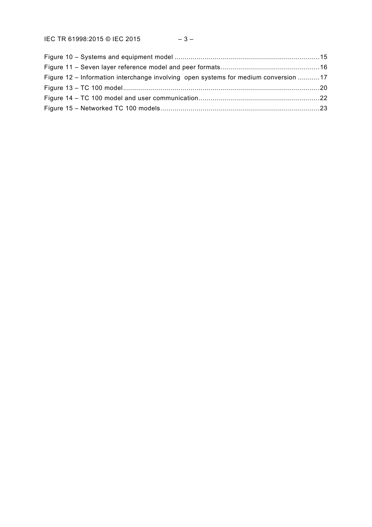| Figure 12 – Information interchange involving open systems for medium conversion 17 |  |
|-------------------------------------------------------------------------------------|--|
|                                                                                     |  |
|                                                                                     |  |
|                                                                                     |  |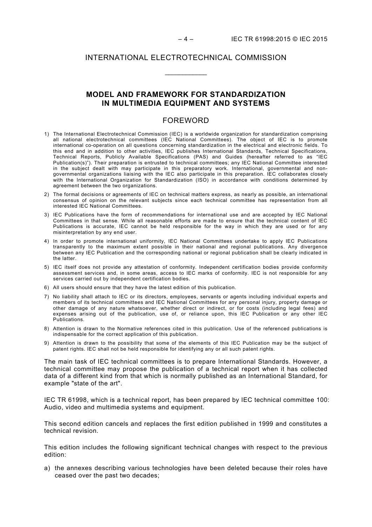#### INTERNATIONAL ELECTROTECHNICAL COMMISSION

 $\overline{\phantom{a}}$ 

## **MODEL AND FRAMEWORK FOR STANDARDIZATION IN MULTIMEDIA EQUIPMENT AND SYSTEMS**

#### FOREWORD

- <span id="page-3-0"></span>1) The International Electrotechnical Commission (IEC) is a worldwide organization for standardization comprising all national electrotechnical committees (IEC National Committees). The object of IEC is to promote international co-operation on all questions concerning standardization in the electrical and electronic fields. To this end and in addition to other activities, IEC publishes International Standards, Technical Specifications, Technical Reports, Publicly Available Specifications (PAS) and Guides (hereafter referred to as "IEC Publication(s)"). Their preparation is entrusted to technical committees; any IEC National Committee interested in the subject dealt with may participate in this preparatory work. International, governmental and nongovernmental organizations liaising with the IEC also participate in this preparation. IEC collaborates closely with the International Organization for Standardization (ISO) in accordance with conditions determined by agreement between the two organizations.
- 2) The formal decisions or agreements of IEC on technical matters express, as nearly as possible, an international consensus of opinion on the relevant subjects since each technical committee has representation from all interested IEC National Committees.
- 3) IEC Publications have the form of recommendations for international use and are accepted by IEC National Committees in that sense. While all reasonable efforts are made to ensure that the technical content of IEC Publications is accurate, IEC cannot be held responsible for the way in which they are used or for any misinterpretation by any end user.
- 4) In order to promote international uniformity, IEC National Committees undertake to apply IEC Publications transparently to the maximum extent possible in their national and regional publications. Any divergence between any IEC Publication and the corresponding national or regional publication shall be clearly indicated in the latter.
- 5) IEC itself does not provide any attestation of conformity. Independent certification bodies provide conformity assessment services and, in some areas, access to IEC marks of conformity. IEC is not responsible for any services carried out by independent certification bodies.
- 6) All users should ensure that they have the latest edition of this publication.
- 7) No liability shall attach to IEC or its directors, employees, servants or agents including individual experts and members of its technical committees and IEC National Committees for any personal injury, property damage or other damage of any nature whatsoever, whether direct or indirect, or for costs (including legal fees) and expenses arising out of the publication, use of, or reliance upon, this IEC Publication or any other IEC Publications.
- 8) Attention is drawn to the Normative references cited in this publication. Use of the referenced publications is indispensable for the correct application of this publication.
- 9) Attention is drawn to the possibility that some of the elements of this IEC Publication may be the subject of patent rights. IEC shall not be held responsible for identifying any or all such patent rights.

The main task of IEC technical committees is to prepare International Standards. However, a technical committee may propose the publication of a technical report when it has collected data of a different kind from that which is normally published as an International Standard, for example "state of the art".

IEC TR 61998, which is a technical report, has been prepared by IEC technical committee 100: Audio, video and multimedia systems and equipment.

This second edition cancels and replaces the first edition published in 1999 and constitutes a technical revision.

This edition includes the following significant technical changes with respect to the previous edition:

a) the annexes describing various technologies have been deleted because their roles have ceased over the past two decades;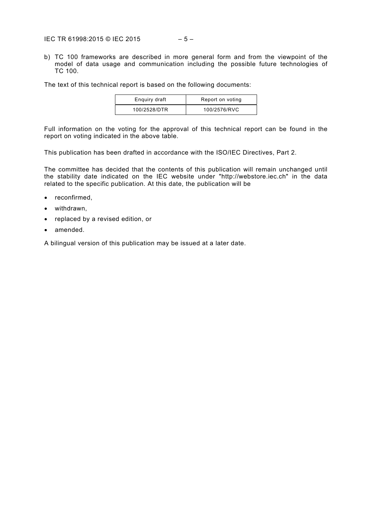b) TC 100 frameworks are described in more general form and from the viewpoint of the model of data usage and communication including the possible future technologies of TC 100.

The text of this technical report is based on the following documents:

| Enguiry draft | Report on voting |
|---------------|------------------|
| 100/2528/DTR  | 100/2576/RVC     |

Full information on the voting for the approval of this technical report can be found in the report on voting indicated in the above table.

This publication has been drafted in accordance with the ISO/IEC Directives, Part 2.

The committee has decided that the contents of this publication will remain unchanged until the stability date indicated on the IEC website under "http://webstore.iec.ch" in the data related to the specific publication. At this date, the publication will be

- reconfirmed,
- withdrawn,
- replaced by a revised edition, or
- amended.

A bilingual version of this publication may be issued at a later date.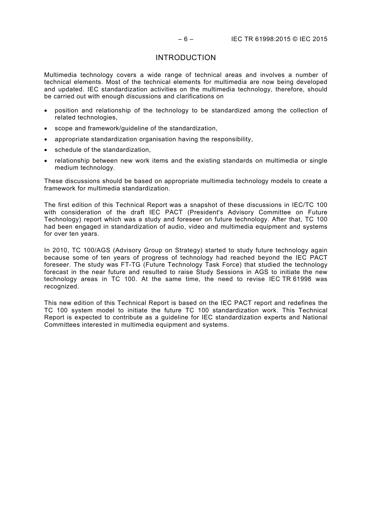#### INTRODUCTION

<span id="page-5-0"></span>Multimedia technology covers a wide range of technical areas and involves a number of technical elements. Most of the technical elements for multimedia are now being developed and updated. IEC standardization activities on the multimedia technology, therefore, should be carried out with enough discussions and clarifications on

- position and relationship of the technology to be standardized among the collection of related technologies,
- scope and framework/guideline of the standardization,
- appropriate standardization organisation having the responsibility,
- schedule of the standardization.
- relationship between new work items and the existing standards on multimedia or single medium technology.

These discussions should be based on appropriate multimedia technology models to create a framework for multimedia standardization.

The first edition of this Technical Report was a snapshot of these discussions in IEC/TC 100 with consideration of the draft IEC PACT (President's Advisory Committee on Future Technology) report which was a study and foreseer on future technology. After that, TC 100 had been engaged in standardization of audio, video and multimedia equipment and systems for over ten years.

In 2010, TC 100/AGS (Advisory Group on Strategy) started to study future technology again because some of ten years of progress of technology had reached beyond the IEC PACT foreseer. The study was FT-TG (Future Technology Task Force) that studied the technology forecast in the near future and resulted to raise Study Sessions in AGS to initiate the new technology areas in TC 100. At the same time, the need to revise IEC TR 61998 was recognized.

This new edition of this Technical Report is based on the IEC PACT report and redefines the TC 100 system model to initiate the future TC 100 standardization work. This Technical Report is expected to contribute as a guideline for IEC standardization experts and National Committees interested in multimedia equipment and systems.